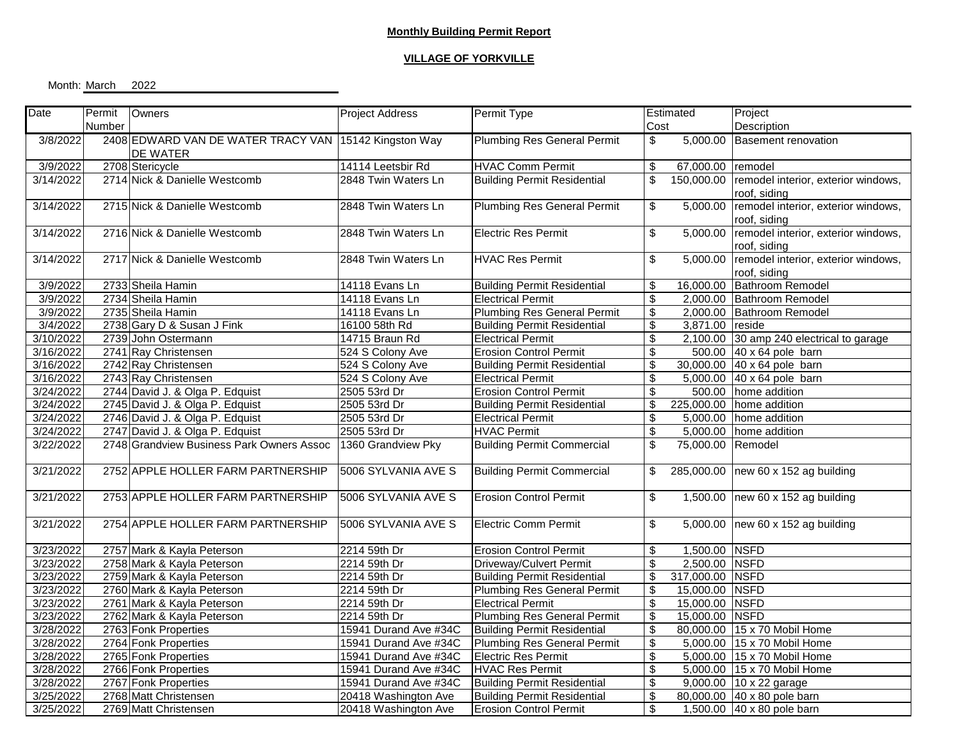## **VILLAGE OF YORKVILLE**

Month: March 2022

| Date      | Permit | Owners                                                | Project Address       | Permit Type                        |                          | Estimated         | Project                                  |
|-----------|--------|-------------------------------------------------------|-----------------------|------------------------------------|--------------------------|-------------------|------------------------------------------|
|           | Number |                                                       |                       |                                    | Cost                     |                   | Description                              |
| 3/8/2022  |        | 2408 EDWARD VAN DE WATER TRACY VAN 15142 Kingston Way |                       | <b>Plumbing Res General Permit</b> | \$                       |                   | 5,000.00 Basement renovation             |
|           |        | DE WATER                                              |                       |                                    |                          |                   |                                          |
| 3/9/2022  |        | 2708 Stericycle                                       | 14114 Leetsbir Rd     | <b>HVAC Comm Permit</b>            | \$                       | 67,000.00         | remodel                                  |
| 3/14/2022 |        | 2714 Nick & Danielle Westcomb                         | 2848 Twin Waters Ln   | <b>Building Permit Residential</b> | $\overline{\mathcal{S}}$ | 150,000.00        | remodel interior, exterior windows,      |
|           |        |                                                       |                       |                                    |                          |                   | roof, siding                             |
| 3/14/2022 |        | 2715 Nick & Danielle Westcomb                         | 2848 Twin Waters Ln   | <b>Plumbing Res General Permit</b> | \$                       | 5,000.00          | remodel interior, exterior windows,      |
|           |        |                                                       |                       |                                    |                          |                   | roof, siding                             |
| 3/14/2022 |        | 2716 Nick & Danielle Westcomb                         | 2848 Twin Waters Ln   | <b>Electric Res Permit</b>         | $\overline{\mathcal{S}}$ | 5,000.00          | remodel interior, exterior windows,      |
|           |        |                                                       |                       |                                    |                          |                   | roof, siding                             |
| 3/14/2022 |        | 2717 Nick & Danielle Westcomb                         | 2848 Twin Waters Ln   | <b>HVAC Res Permit</b>             | \$                       | 5,000.00          | remodel interior, exterior windows,      |
|           |        |                                                       |                       |                                    |                          |                   | roof, siding                             |
| 3/9/2022  |        | 2733 Sheila Hamin                                     | 14118 Evans Ln        | <b>Building Permit Residential</b> | \$                       |                   | 16,000.00 Bathroom Remodel               |
| 3/9/2022  |        | 2734 Sheila Hamin                                     | 14118 Evans Ln        | <b>Electrical Permit</b>           | \$                       |                   | 2,000.00 Bathroom Remodel                |
| 3/9/2022  |        | 2735 Sheila Hamin                                     | 14118 Evans Ln        | <b>Plumbing Res General Permit</b> | \$                       |                   | 2,000.00 Bathroom Remodel                |
| 3/4/2022  |        | 2738 Gary D & Susan J Fink                            | 16100 58th Rd         | <b>Building Permit Residential</b> | $\overline{\mathbf{S}}$  | 3,871.00          | reside                                   |
| 3/10/2022 |        | 2739 John Ostermann                                   | 14715 Braun Rd        | <b>Electrical Permit</b>           | $\overline{\mathbf{e}}$  |                   | 2,100.00 30 amp 240 electrical to garage |
| 3/16/2022 |        | 2741 Ray Christensen                                  | 524 S Colony Ave      | <b>Erosion Control Permit</b>      | $\overline{\mathbf{s}}$  |                   | 500.00 40 x 64 pole barn                 |
| 3/16/2022 |        | 2742 Ray Christensen                                  | 524 S Colony Ave      | <b>Building Permit Residential</b> | \$                       |                   | 30,000.00 40 x 64 pole barn              |
| 3/16/2022 |        | 2743 Ray Christensen                                  | 524 S Colony Ave      | <b>Electrical Permit</b>           | $\overline{\mathcal{S}}$ |                   | 5,000.00 40 x 64 pole barn               |
| 3/24/2022 |        | 2744 David J. & Olga P. Edquist                       | 2505 53rd Dr          | <b>Erosion Control Permit</b>      | \$                       |                   | 500.00 home addition                     |
| 3/24/2022 |        | 2745 David J. & Olga P. Edquist                       | 2505 53rd Dr          | <b>Building Permit Residential</b> | \$                       |                   | 225,000.00 home addition                 |
| 3/24/2022 |        | 2746 David J. & Olga P. Edquist                       | 2505 53rd Dr          | <b>Electrical Permit</b>           | \$                       |                   | 5,000.00 home addition                   |
| 3/24/2022 |        | 2747 David J. & Olga P. Edquist                       | 2505 53rd Dr          | <b>HVAC Permit</b>                 | \$                       |                   | 5,000.00 home addition                   |
| 3/22/2022 |        | 2748 Grandview Business Park Owners Assoc             | 1360 Grandview Pky    | <b>Building Permit Commercial</b>  | $\overline{\mathbf{S}}$  | 75,000.00 Remodel |                                          |
|           |        |                                                       |                       |                                    |                          |                   |                                          |
| 3/21/2022 |        | 2752 APPLE HOLLER FARM PARTNERSHIP                    | 5006 SYLVANIA AVE S   | <b>Building Permit Commercial</b>  | \$                       |                   | 285,000.00 new 60 x 152 ag building      |
|           |        |                                                       |                       |                                    |                          |                   |                                          |
| 3/21/2022 |        | 2753 APPLE HOLLER FARM PARTNERSHIP                    | 5006 SYLVANIA AVE S   | <b>Erosion Control Permit</b>      | \$                       |                   | 1,500.00 $new 60 x 152 ag building$      |
|           |        |                                                       |                       |                                    |                          |                   |                                          |
| 3/21/2022 |        | 2754 APPLE HOLLER FARM PARTNERSHIP                    | 5006 SYLVANIA AVE S   | <b>Electric Comm Permit</b>        | \$                       |                   | 5,000.00 new 60 x 152 ag building        |
|           |        |                                                       |                       |                                    |                          |                   |                                          |
| 3/23/2022 |        | 2757 Mark & Kayla Peterson                            | 2214 59th Dr          | <b>Erosion Control Permit</b>      | \$                       | 1,500.00 NSFD     |                                          |
| 3/23/2022 |        | 2758 Mark & Kayla Peterson                            | 2214 59th Dr          | Driveway/Culvert Permit            | $\overline{\mathbf{S}}$  | 2,500.00 NSFD     |                                          |
| 3/23/2022 |        | 2759 Mark & Kayla Peterson                            | 2214 59th Dr          | <b>Building Permit Residential</b> | $\overline{\mathbf{3}}$  | 317,000.00 NSFD   |                                          |
| 3/23/2022 |        | 2760 Mark & Kayla Peterson                            | 2214 59th Dr          | <b>Plumbing Res General Permit</b> | $\overline{\mathbf{s}}$  | 15,000.00 NSFD    |                                          |
| 3/23/2022 |        | 2761 Mark & Kayla Peterson                            | 2214 59th Dr          | <b>Electrical Permit</b>           | \$                       | 15,000.00 NSFD    |                                          |
| 3/23/2022 |        | 2762 Mark & Kayla Peterson                            | 2214 59th Dr          | <b>Plumbing Res General Permit</b> | $\overline{\mathcal{S}}$ | 15,000.00 NSFD    |                                          |
| 3/28/2022 |        | 2763 Fonk Properties                                  | 15941 Durand Ave #34C | <b>Building Permit Residential</b> | \$                       |                   | 80,000.00 15 x 70 Mobil Home             |
| 3/28/2022 |        | 2764 Fonk Properties                                  | 15941 Durand Ave #34C | <b>Plumbing Res General Permit</b> | $\overline{\mathcal{E}}$ |                   | 5,000.00 15 x 70 Mobil Home              |
| 3/28/2022 |        | 2765 Fonk Properties                                  | 15941 Durand Ave #34C | <b>Electric Res Permit</b>         | $\overline{\mathbf{e}}$  |                   | 5,000.00 15 x 70 Mobil Home              |
| 3/28/2022 |        | 2766 Fonk Properties                                  | 15941 Durand Ave #34C | <b>HVAC Res Permit</b>             | $\overline{\mathbf{S}}$  |                   | 5,000.00 15 x 70 Mobil Home              |
| 3/28/2022 |        | 2767 Fonk Properties                                  | 15941 Durand Ave #34C | <b>Building Permit Residential</b> | $\overline{\mathbf{S}}$  |                   | 9,000.00 10 x 22 garage                  |
| 3/25/2022 |        | 2768 Matt Christensen                                 | 20418 Washington Ave  | <b>Building Permit Residential</b> | $\overline{\mathbf{S}}$  |                   | 80,000.00 40 x 80 pole barn              |
| 3/25/2022 |        | 2769 Matt Christensen                                 | 20418 Washington Ave  | <b>Erosion Control Permit</b>      | $\overline{\mathcal{S}}$ |                   | 1,500.00 40 x 80 pole barn               |